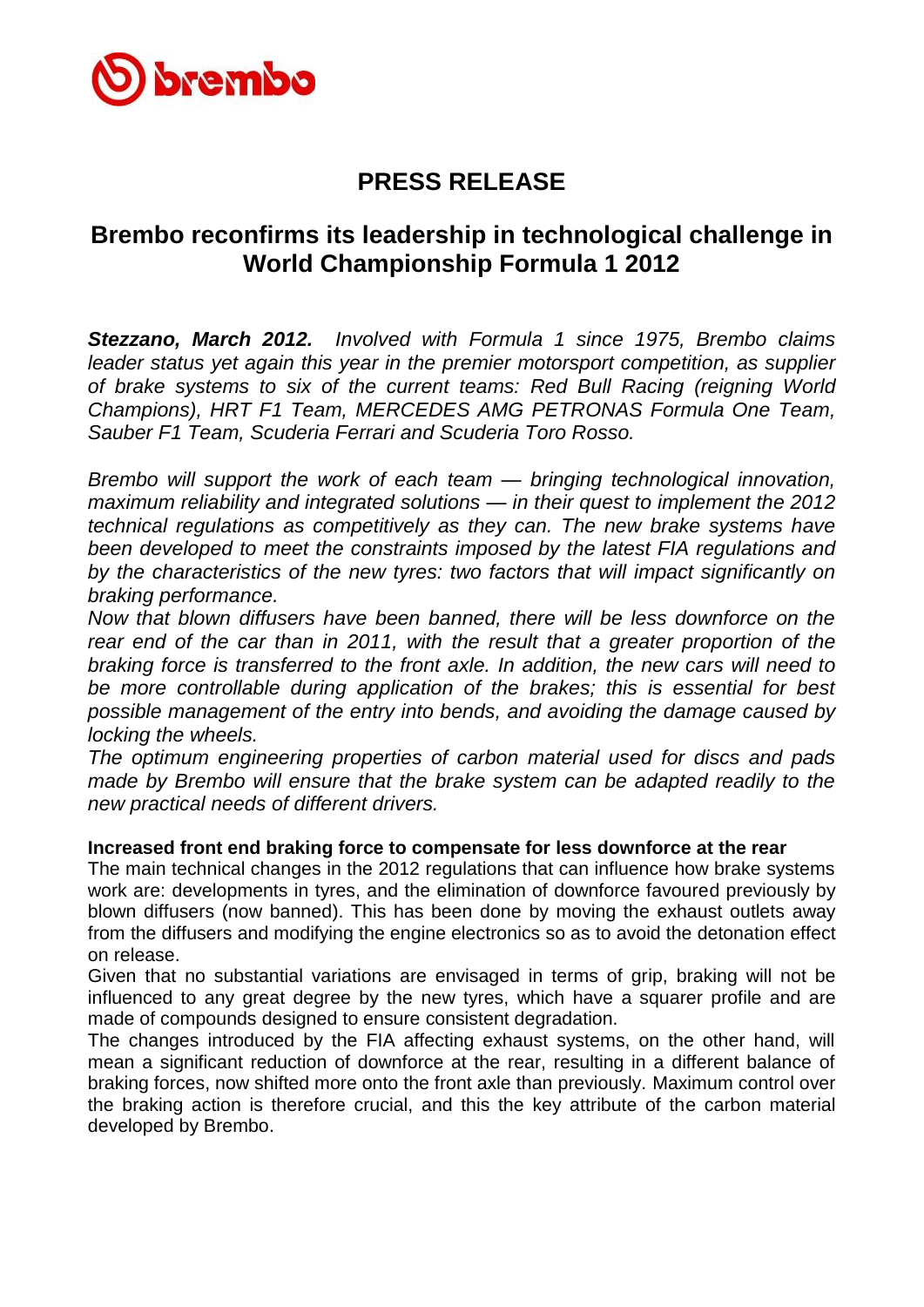

# **PRESS RELEASE**

## **Brembo reconfirms its leadership in technological challenge in World Championship Formula 1 2012**

*Stezzano, March 2012. Involved with Formula 1 since 1975, Brembo claims leader status yet again this year in the premier motorsport competition, as supplier of brake systems to six of the current teams: Red Bull Racing (reigning World Champions), HRT F1 Team, MERCEDES AMG PETRONAS Formula One Team, Sauber F1 Team, Scuderia Ferrari and Scuderia Toro Rosso.*

*Brembo will support the work of each team — bringing technological innovation, maximum reliability and integrated solutions — in their quest to implement the 2012 technical regulations as competitively as they can. The new brake systems have been developed to meet the constraints imposed by the latest FIA regulations and by the characteristics of the new tyres: two factors that will impact significantly on braking performance.*

*Now that blown diffusers have been banned, there will be less downforce on the rear end of the car than in 2011, with the result that a greater proportion of the braking force is transferred to the front axle. In addition, the new cars will need to be more controllable during application of the brakes; this is essential for best possible management of the entry into bends, and avoiding the damage caused by locking the wheels.*

*The optimum engineering properties of carbon material used for discs and pads made by Brembo will ensure that the brake system can be adapted readily to the new practical needs of different drivers.*

### **Increased front end braking force to compensate for less downforce at the rear**

The main technical changes in the 2012 regulations that can influence how brake systems work are: developments in tyres, and the elimination of downforce favoured previously by blown diffusers (now banned). This has been done by moving the exhaust outlets away from the diffusers and modifying the engine electronics so as to avoid the detonation effect on release.

Given that no substantial variations are envisaged in terms of grip, braking will not be influenced to any great degree by the new tyres, which have a squarer profile and are made of compounds designed to ensure consistent degradation.

The changes introduced by the FIA affecting exhaust systems, on the other hand, will mean a significant reduction of downforce at the rear, resulting in a different balance of braking forces, now shifted more onto the front axle than previously. Maximum control over the braking action is therefore crucial, and this the key attribute of the carbon material developed by Brembo.